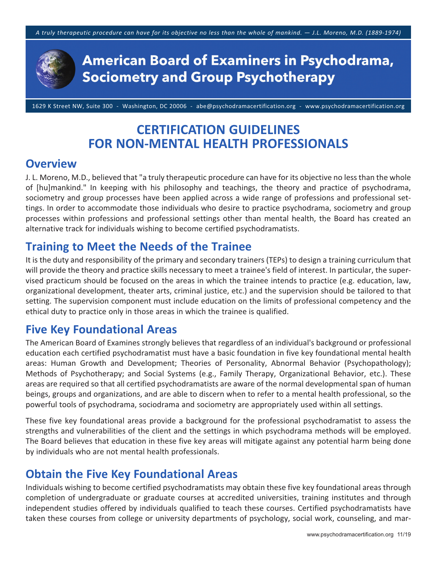

1629 K Street NW, Suite 300 ‐ Washington, DC 20006 ‐ abe@psychodramacertification.org ‐ www.psychodramacertification.org

# **CERTIFICATION GUIDELINES FOR NON‐MENTAL HEALTH PROFESSIONALS**

### **Overview**

J. L. Moreno, M.D., believed that "a truly therapeutic procedure can have for its objective no less than the whole of [hu]mankind." In keeping with his philosophy and teachings, the theory and practice of psychodrama, sociometry and group processes have been applied across a wide range of professions and professional settings. In order to accommodate those individuals who desire to practice psychodrama, sociometry and group processes within professions and professional settings other than mental health, the Board has created an alternative track for individuals wishing to become certified psychodramatists.

## **Training to Meet the Needs of the Trainee**

It is the duty and responsibility of the primary and secondary trainers (TEPs) to design a training curriculum that will provide the theory and practice skills necessary to meet a trainee's field of interest. In particular, the supervised practicum should be focused on the areas in which the trainee intends to practice (e.g. education, law, organizational development, theater arts, criminal justice, etc.) and the supervision should be tailored to that setting. The supervision component must include education on the limits of professional competency and the ethical duty to practice only in those areas in which the trainee is qualified.

# **Five Key Foundational Areas**

The American Board of Examines strongly believes that regardless of an individual's background or professional education each certified psychodramatist must have a basic foundation in five key foundational mental health areas: Human Growth and Development; Theories of Personality, Abnormal Behavior (Psychopathology); Methods of Psychotherapy; and Social Systems (e.g., Family Therapy, Organizational Behavior, etc.). These areas are required so that all certified psychodramatists are aware of the normal developmental span of human beings, groups and organizations, and are able to discern when to refer to a mental health professional, so the powerful tools of psychodrama, sociodrama and sociometry are appropriately used within all settings.

These five key foundational areas provide a background for the professional psychodramatist to assess the strengths and vulnerabilities of the client and the settings in which psychodrama methods will be employed. The Board believes that education in these five key areas will mitigate against any potential harm being done by individuals who are not mental health professionals.

# **Obtain the Five Key Foundational Areas**

Individuals wishing to become certified psychodramatists may obtain these five key foundational areas through completion of undergraduate or graduate courses at accredited universities, training institutes and through independent studies offered by individuals qualified to teach these courses. Certified psychodramatists have taken these courses from college or university departments of psychology, social work, counseling, and mar‐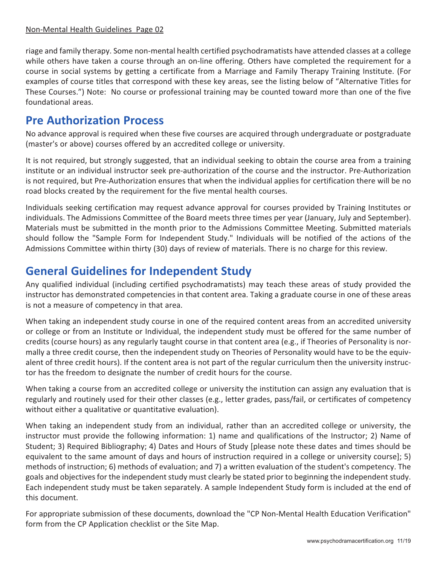riage and family therapy. Some non‐mental health certified psychodramatists have attended classes at a college while others have taken a course through an on-line offering. Others have completed the requirement for a course in social systems by getting a certificate from a Marriage and Family Therapy Training Institute. (For examples of course titles that correspond with these key areas, see the listing below of "Alternative Titles for These Courses.") Note: No course or professional training may be counted toward more than one of the five foundational areas.

# **Pre Authorization Process**

No advance approval is required when these five courses are acquired through undergraduate or postgraduate (master's or above) courses offered by an accredited college or university.

It is not required, but strongly suggested, that an individual seeking to obtain the course area from a training institute or an individual instructor seek pre‐authorization of the course and the instructor. Pre‐Authorization is not required, but Pre‐Authorization ensures that when the individual applies for certification there will be no road blocks created by the requirement for the five mental health courses.

Individuals seeking certification may request advance approval for courses provided by Training Institutes or individuals. The Admissions Committee of the Board meets three times per year (January, July and September). Materials must be submitted in the month prior to the Admissions Committee Meeting. Submitted materials should follow the "Sample Form for Independent Study." Individuals will be notified of the actions of the Admissions Committee within thirty (30) days of review of materials. There is no charge for this review.

# **General Guidelines for Independent Study**

Any qualified individual (including certified psychodramatists) may teach these areas of study provided the instructor has demonstrated competencies in that content area. Taking a graduate course in one of these areas is not a measure of competency in that area.

When taking an independent study course in one of the required content areas from an accredited university or college or from an Institute or Individual, the independent study must be offered for the same number of credits (course hours) as any regularly taught course in that content area (e.g., if Theories of Personality is nor‐ mally a three credit course, then the independent study on Theories of Personality would have to be the equiv‐ alent of three credit hours). If the content area is not part of the regular curriculum then the university instructor has the freedom to designate the number of credit hours for the course.

When taking a course from an accredited college or university the institution can assign any evaluation that is regularly and routinely used for their other classes (e.g., letter grades, pass/fail, or certificates of competency without either a qualitative or quantitative evaluation).

When taking an independent study from an individual, rather than an accredited college or university, the instructor must provide the following information: 1) name and qualifications of the Instructor; 2) Name of Student; 3) Required Bibliography; 4) Dates and Hours of Study [please note these dates and times should be equivalent to the same amount of days and hours of instruction required in a college or university course]; 5) methods of instruction; 6) methods of evaluation; and 7) a written evaluation of the student's competency. The goals and objectives for the independent study must clearly be stated prior to beginning the independent study. Each independent study must be taken separately. A sample Independent Study form is included at the end of this document.

For appropriate submission of these documents, download the "CP Non‐Mental Health Education Verification" form from the CP Application checklist or the Site Map.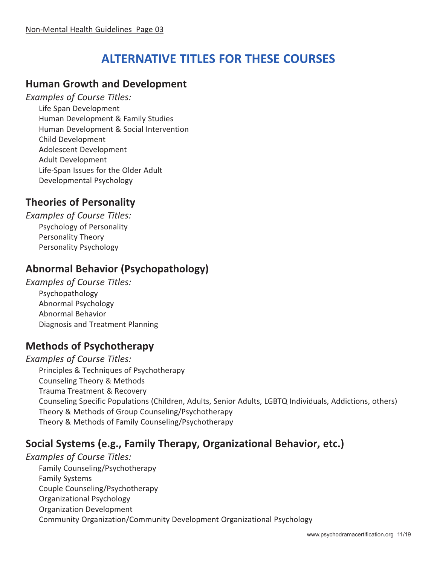# **ALTERNATIVE TITLES FOR THESE COURSES**

### **Human Growth and Development**

*Examples of Course Titles:*

Life Span Development Human Development & Family Studies Human Development & Social Intervention Child Development Adolescent Development Adult Development Life‐Span Issues for the Older Adult Developmental Psychology

### **Theories of Personality**

*Examples of Course Titles:* Psychology of Personality Personality Theory Personality Psychology

### **Abnormal Behavior (Psychopathology)**

*Examples of Course Titles:* Psychopathology Abnormal Psychology Abnormal Behavior Diagnosis and Treatment Planning

### **Methods of Psychotherapy**

*Examples of Course Titles:* Principles & Techniques of Psychotherapy Counseling Theory & Methods Trauma Treatment & Recovery Counseling Specific Populations (Children, Adults, Senior Adults, LGBTQ Individuals, Addictions, others) Theory & Methods of Group Counseling/Psychotherapy Theory & Methods of Family Counseling/Psychotherapy

### **Social Systems (e.g., Family Therapy, Organizational Behavior, etc.)**

*Examples of Course Titles:*  Family Counseling/Psychotherapy Family Systems Couple Counseling/Psychotherapy Organizational Psychology Organization Development Community Organization/Community Development Organizational Psychology